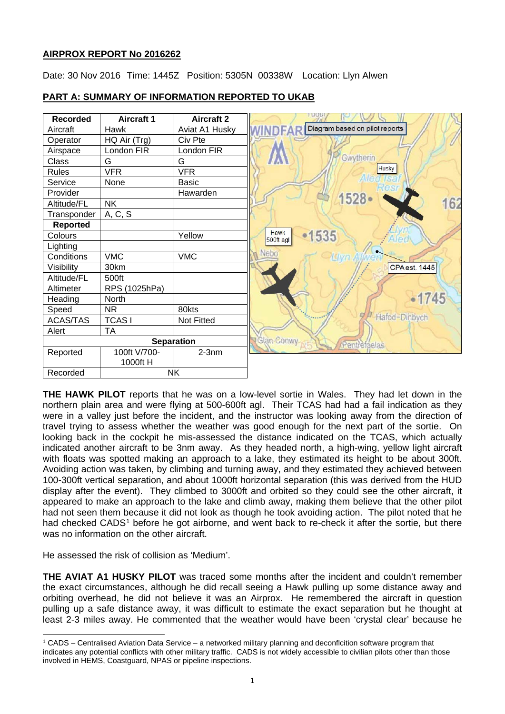# **AIRPROX REPORT No 2016262**

Date: 30 Nov 2016 Time: 1445Z Position: 5305N 00338W Location: Llyn Alwen



# **PART A: SUMMARY OF INFORMATION REPORTED TO UKAB**

**THE HAWK PILOT** reports that he was on a low-level sortie in Wales. They had let down in the northern plain area and were flying at 500-600ft agl. Their TCAS had had a fail indication as they were in a valley just before the incident, and the instructor was looking away from the direction of travel trying to assess whether the weather was good enough for the next part of the sortie. On looking back in the cockpit he mis-assessed the distance indicated on the TCAS, which actually indicated another aircraft to be 3nm away. As they headed north, a high-wing, yellow light aircraft with floats was spotted making an approach to a lake, they estimated its height to be about 300ft. Avoiding action was taken, by climbing and turning away, and they estimated they achieved between 100-300ft vertical separation, and about 1000ft horizontal separation (this was derived from the HUD display after the event). They climbed to 3000ft and orbited so they could see the other aircraft, it appeared to make an approach to the lake and climb away, making them believe that the other pilot had not seen them because it did not look as though he took avoiding action. The pilot noted that he had checked CADS<sup>[1](#page-0-0)</sup> before he got airborne, and went back to re-check it after the sortie, but there was no information on the other aircraft.

He assessed the risk of collision as 'Medium'.

 $\overline{a}$ 

**THE AVIAT A1 HUSKY PILOT** was traced some months after the incident and couldn't remember the exact circumstances, although he did recall seeing a Hawk pulling up some distance away and orbiting overhead, he did not believe it was an Airprox. He remembered the aircraft in question pulling up a safe distance away, it was difficult to estimate the exact separation but he thought at least 2-3 miles away. He commented that the weather would have been 'crystal clear' because he

<span id="page-0-0"></span><sup>1</sup> CADS – Centralised Aviation Data Service – a networked military planning and deconflcition software program that indicates any potential conflicts with other military traffic. CADS is not widely accessible to civilian pilots other than those involved in HEMS, Coastguard, NPAS or pipeline inspections.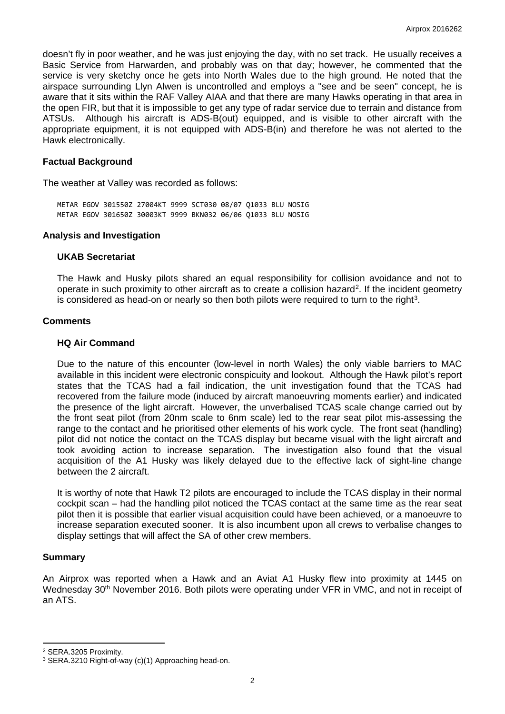doesn't fly in poor weather, and he was just enjoying the day, with no set track. He usually receives a Basic Service from Harwarden, and probably was on that day; however, he commented that the service is very sketchy once he gets into North Wales due to the high ground. He noted that the airspace surrounding Llyn Alwen is uncontrolled and employs a "see and be seen" concept, he is aware that it sits within the RAF Valley AIAA and that there are many Hawks operating in that area in the open FIR, but that it is impossible to get any type of radar service due to terrain and distance from ATSUs. Although his aircraft is ADS-B(out) equipped, and is visible to other aircraft with the appropriate equipment, it is not equipped with ADS-B(in) and therefore he was not alerted to the Hawk electronically.

### **Factual Background**

The weather at Valley was recorded as follows:

METAR EGOV 301550Z 27004KT 9999 SCT030 08/07 Q1033 BLU NOSIG METAR EGOV 301650Z 30003KT 9999 BKN032 06/06 Q1033 BLU NOSIG

#### **Analysis and Investigation**

#### **UKAB Secretariat**

The Hawk and Husky pilots shared an equal responsibility for collision avoidance and not to operate in such proximity to other aircraft as to create a collision hazard[2](#page-1-0). If the incident geometry is considered as head-on or nearly so then both pilots were required to turn to the right<sup>[3](#page-1-1)</sup>.

#### **Comments**

#### **HQ Air Command**

Due to the nature of this encounter (low-level in north Wales) the only viable barriers to MAC available in this incident were electronic conspicuity and lookout. Although the Hawk pilot's report states that the TCAS had a fail indication, the unit investigation found that the TCAS had recovered from the failure mode (induced by aircraft manoeuvring moments earlier) and indicated the presence of the light aircraft. However, the unverbalised TCAS scale change carried out by the front seat pilot (from 20nm scale to 6nm scale) led to the rear seat pilot mis-assessing the range to the contact and he prioritised other elements of his work cycle. The front seat (handling) pilot did not notice the contact on the TCAS display but became visual with the light aircraft and took avoiding action to increase separation. The investigation also found that the visual acquisition of the A1 Husky was likely delayed due to the effective lack of sight-line change between the 2 aircraft.

It is worthy of note that Hawk T2 pilots are encouraged to include the TCAS display in their normal cockpit scan – had the handling pilot noticed the TCAS contact at the same time as the rear seat pilot then it is possible that earlier visual acquisition could have been achieved, or a manoeuvre to increase separation executed sooner. It is also incumbent upon all crews to verbalise changes to display settings that will affect the SA of other crew members.

### **Summary**

 $\overline{a}$ 

An Airprox was reported when a Hawk and an Aviat A1 Husky flew into proximity at 1445 on Wednesday 30<sup>th</sup> November 2016. Both pilots were operating under VFR in VMC, and not in receipt of an ATS.

<span id="page-1-0"></span><sup>2</sup> SERA.3205 Proximity.

<span id="page-1-1"></span><sup>3</sup> SERA.3210 Right-of-way (c)(1) Approaching head-on.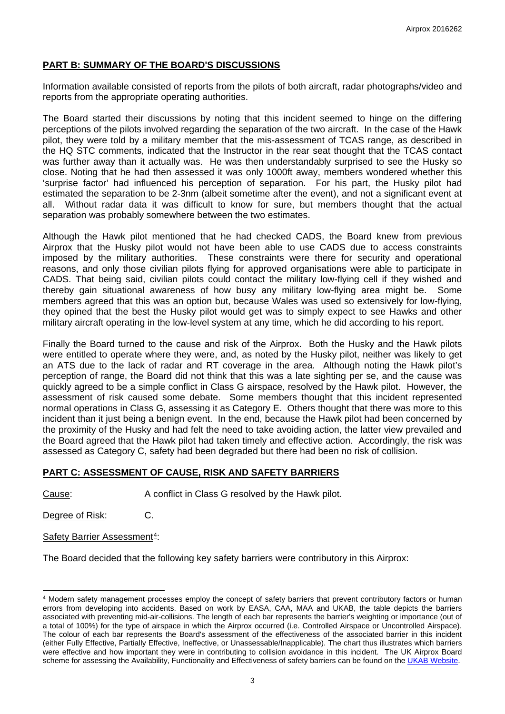## **PART B: SUMMARY OF THE BOARD'S DISCUSSIONS**

Information available consisted of reports from the pilots of both aircraft, radar photographs/video and reports from the appropriate operating authorities.

The Board started their discussions by noting that this incident seemed to hinge on the differing perceptions of the pilots involved regarding the separation of the two aircraft. In the case of the Hawk pilot, they were told by a military member that the mis-assessment of TCAS range, as described in the HQ STC comments, indicated that the Instructor in the rear seat thought that the TCAS contact was further away than it actually was. He was then understandably surprised to see the Husky so close. Noting that he had then assessed it was only 1000ft away, members wondered whether this 'surprise factor' had influenced his perception of separation. For his part, the Husky pilot had estimated the separation to be 2-3nm (albeit sometime after the event), and not a significant event at Without radar data it was difficult to know for sure, but members thought that the actual separation was probably somewhere between the two estimates.

Although the Hawk pilot mentioned that he had checked CADS, the Board knew from previous Airprox that the Husky pilot would not have been able to use CADS due to access constraints imposed by the military authorities. These constraints were there for security and operational reasons, and only those civilian pilots flying for approved organisations were able to participate in CADS. That being said, civilian pilots could contact the military low-flying cell if they wished and thereby gain situational awareness of how busy any military low-flying area might be. Some members agreed that this was an option but, because Wales was used so extensively for low-flying, they opined that the best the Husky pilot would get was to simply expect to see Hawks and other military aircraft operating in the low-level system at any time, which he did according to his report.

Finally the Board turned to the cause and risk of the Airprox. Both the Husky and the Hawk pilots were entitled to operate where they were, and, as noted by the Husky pilot, neither was likely to get an ATS due to the lack of radar and RT coverage in the area. Although noting the Hawk pilot's perception of range, the Board did not think that this was a late sighting per se, and the cause was quickly agreed to be a simple conflict in Class G airspace, resolved by the Hawk pilot. However, the assessment of risk caused some debate. Some members thought that this incident represented normal operations in Class G, assessing it as Category E. Others thought that there was more to this incident than it just being a benign event. In the end, because the Hawk pilot had been concerned by the proximity of the Husky and had felt the need to take avoiding action, the latter view prevailed and the Board agreed that the Hawk pilot had taken timely and effective action. Accordingly, the risk was assessed as Category C, safety had been degraded but there had been no risk of collision.

## **PART C: ASSESSMENT OF CAUSE, RISK AND SAFETY BARRIERS**

Cause: A conflict in Class G resolved by the Hawk pilot.

Degree of Risk: C.

Safety Barrier Assessment<sup>[4](#page-2-0)</sup>:

The Board decided that the following key safety barriers were contributory in this Airprox:

<span id="page-2-0"></span> $\overline{a}$ <sup>4</sup> Modern safety management processes employ the concept of safety barriers that prevent contributory factors or human errors from developing into accidents. Based on work by EASA, CAA, MAA and UKAB, the table depicts the barriers associated with preventing mid-air-collisions. The length of each bar represents the barrier's weighting or importance (out of a total of 100%) for the type of airspace in which the Airprox occurred (i.e. Controlled Airspace or Uncontrolled Airspace). The colour of each bar represents the Board's assessment of the effectiveness of the associated barrier in this incident (either Fully Effective, Partially Effective, Ineffective, or Unassessable/Inapplicable). The chart thus illustrates which barriers were effective and how important they were in contributing to collision avoidance in this incident. The UK Airprox Board scheme for assessing the Availability, Functionality and Effectiveness of safety barriers can be found on th[e UKAB Website.](http://www.airproxboard.org.uk/Learn-more/Airprox-Barrier-Assessment/)